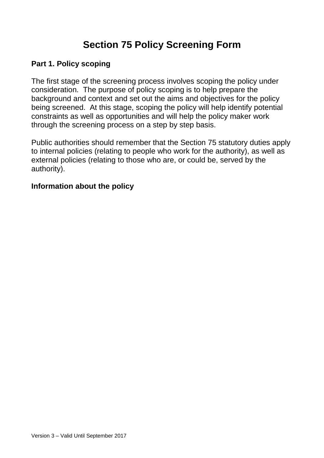# **Section 75 Policy Screening Form**

#### **Part 1. Policy scoping**

The first stage of the screening process involves scoping the policy under consideration. The purpose of policy scoping is to help prepare the background and context and set out the aims and objectives for the policy being screened. At this stage, scoping the policy will help identify potential constraints as well as opportunities and will help the policy maker work through the screening process on a step by step basis.

Public authorities should remember that the Section 75 statutory duties apply to internal policies (relating to people who work for the authority), as well as external policies (relating to those who are, or could be, served by the authority).

#### **Information about the policy**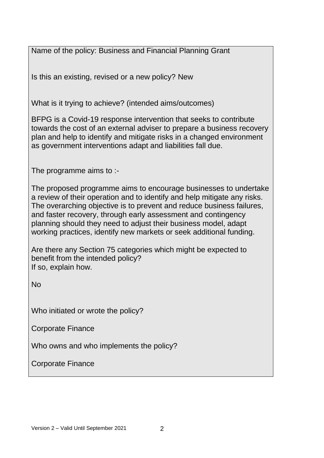Name of the policy: Business and Financial Planning Grant

Is this an existing, revised or a new policy? New

What is it trying to achieve? (intended aims/outcomes)

BFPG is a Covid-19 response intervention that seeks to contribute towards the cost of an external adviser to prepare a business recovery plan and help to identify and mitigate risks in a changed environment as government interventions adapt and liabilities fall due.

The programme aims to :-

The proposed programme aims to encourage businesses to undertake a review of their operation and to identify and help mitigate any risks. The overarching objective is to prevent and reduce business failures, and faster recovery, through early assessment and contingency planning should they need to adjust their business model, adapt working practices, identify new markets or seek additional funding.

Are there any Section 75 categories which might be expected to benefit from the intended policy? If so, explain how.

No

Who initiated or wrote the policy?

Corporate Finance

Who owns and who implements the policy?

Corporate Finance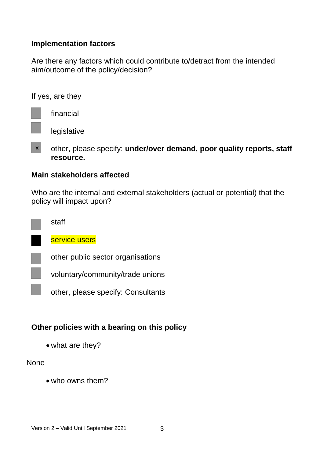#### **Implementation factors**

Are there any factors which could contribute to/detract from the intended aim/outcome of the policy/decision?

If yes, are they

financial

legislative

other, please specify: **under/over demand, poor quality reports, staff resource.**   $\mathbf{x}$ 

#### **Main stakeholders affected**

Who are the internal and external stakeholders (actual or potential) that the policy will impact upon?

| staff                             |
|-----------------------------------|
| service users                     |
| other public sector organisations |
| voluntary/community/trade union   |
|                                   |

other, please specify: Consultants

# **Other policies with a bearing on this policy**

what are they?

#### None

**Contract** 

who owns them?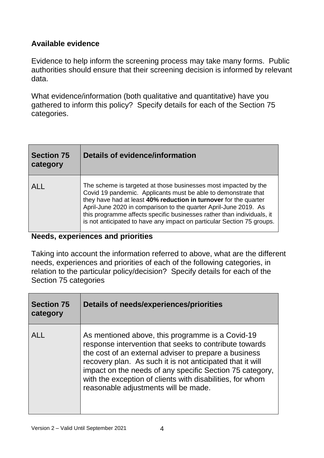#### **Available evidence**

Evidence to help inform the screening process may take many forms. Public authorities should ensure that their screening decision is informed by relevant data.

What evidence/information (both qualitative and quantitative) have you gathered to inform this policy? Specify details for each of the Section 75 categories.

| <b>Section 75</b><br>category | Details of evidence/information                                                                                                                                                                                                                                                                                                                                                                                               |  |  |
|-------------------------------|-------------------------------------------------------------------------------------------------------------------------------------------------------------------------------------------------------------------------------------------------------------------------------------------------------------------------------------------------------------------------------------------------------------------------------|--|--|
| <b>ALL</b>                    | The scheme is targeted at those businesses most impacted by the<br>Covid 19 pandemic. Applicants must be able to demonstrate that<br>they have had at least 40% reduction in turnover for the quarter<br>April-June 2020 in comparison to the quarter April-June 2019. As<br>this programme affects specific businesses rather than individuals, it<br>is not anticipated to have any impact on particular Section 75 groups. |  |  |

# **Needs, experiences and priorities**

Taking into account the information referred to above, what are the different needs, experiences and priorities of each of the following categories, in relation to the particular policy/decision? Specify details for each of the Section 75 categories

| <b>Section 75</b><br>category | Details of needs/experiences/priorities                                                                                                                                                                                                                                                                                                                                                           |
|-------------------------------|---------------------------------------------------------------------------------------------------------------------------------------------------------------------------------------------------------------------------------------------------------------------------------------------------------------------------------------------------------------------------------------------------|
| $AI$ $\vdash$                 | As mentioned above, this programme is a Covid-19<br>response intervention that seeks to contribute towards<br>the cost of an external adviser to prepare a business<br>recovery plan. As such it is not anticipated that it will<br>impact on the needs of any specific Section 75 category,<br>with the exception of clients with disabilities, for whom<br>reasonable adjustments will be made. |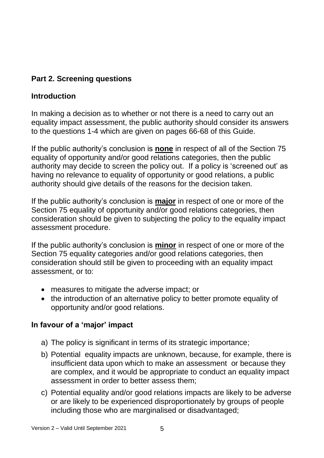# **Part 2. Screening questions**

### **Introduction**

In making a decision as to whether or not there is a need to carry out an equality impact assessment, the public authority should consider its answers to the questions 1-4 which are given on pages 66-68 of this Guide.

If the public authority's conclusion is **none** in respect of all of the Section 75 equality of opportunity and/or good relations categories, then the public authority may decide to screen the policy out. If a policy is 'screened out' as having no relevance to equality of opportunity or good relations, a public authority should give details of the reasons for the decision taken.

If the public authority's conclusion is **major** in respect of one or more of the Section 75 equality of opportunity and/or good relations categories, then consideration should be given to subjecting the policy to the equality impact assessment procedure.

If the public authority's conclusion is **minor** in respect of one or more of the Section 75 equality categories and/or good relations categories, then consideration should still be given to proceeding with an equality impact assessment, or to:

- measures to mitigate the adverse impact; or
- the introduction of an alternative policy to better promote equality of opportunity and/or good relations.

#### **In favour of a 'major' impact**

- a) The policy is significant in terms of its strategic importance;
- b) Potential equality impacts are unknown, because, for example, there is insufficient data upon which to make an assessment or because they are complex, and it would be appropriate to conduct an equality impact assessment in order to better assess them;
- c) Potential equality and/or good relations impacts are likely to be adverse or are likely to be experienced disproportionately by groups of people including those who are marginalised or disadvantaged;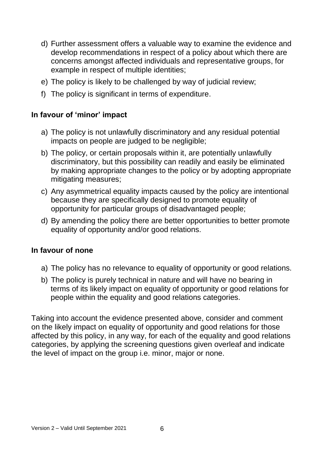- d) Further assessment offers a valuable way to examine the evidence and develop recommendations in respect of a policy about which there are concerns amongst affected individuals and representative groups, for example in respect of multiple identities;
- e) The policy is likely to be challenged by way of judicial review;
- f) The policy is significant in terms of expenditure.

#### **In favour of 'minor' impact**

- a) The policy is not unlawfully discriminatory and any residual potential impacts on people are judged to be negligible;
- b) The policy, or certain proposals within it, are potentially unlawfully discriminatory, but this possibility can readily and easily be eliminated by making appropriate changes to the policy or by adopting appropriate mitigating measures;
- c) Any asymmetrical equality impacts caused by the policy are intentional because they are specifically designed to promote equality of opportunity for particular groups of disadvantaged people;
- d) By amending the policy there are better opportunities to better promote equality of opportunity and/or good relations.

#### **In favour of none**

- a) The policy has no relevance to equality of opportunity or good relations.
- b) The policy is purely technical in nature and will have no bearing in terms of its likely impact on equality of opportunity or good relations for people within the equality and good relations categories.

Taking into account the evidence presented above, consider and comment on the likely impact on equality of opportunity and good relations for those affected by this policy, in any way, for each of the equality and good relations categories, by applying the screening questions given overleaf and indicate the level of impact on the group i.e. minor, major or none.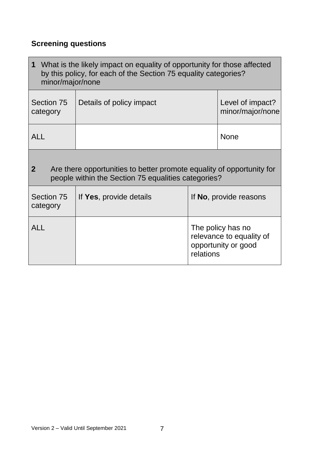# **Screening questions**

| 1 What is the likely impact on equality of opportunity for those affected<br>by this policy, for each of the Section 75 equality categories?<br>minor/major/none |                          |                                                                                   |                                      |  |
|------------------------------------------------------------------------------------------------------------------------------------------------------------------|--------------------------|-----------------------------------------------------------------------------------|--------------------------------------|--|
| Section 75<br>category                                                                                                                                           | Details of policy impact |                                                                                   | Level of impact?<br>minor/major/none |  |
| <b>ALL</b>                                                                                                                                                       |                          |                                                                                   | <b>None</b>                          |  |
| $\mathbf{2}$<br>Are there opportunities to better promote equality of opportunity for<br>people within the Section 75 equalities categories?                     |                          |                                                                                   |                                      |  |
| Section 75<br>category                                                                                                                                           | If Yes, provide details  | If No, provide reasons                                                            |                                      |  |
| <b>ALL</b>                                                                                                                                                       |                          | The policy has no<br>relevance to equality of<br>opportunity or good<br>relations |                                      |  |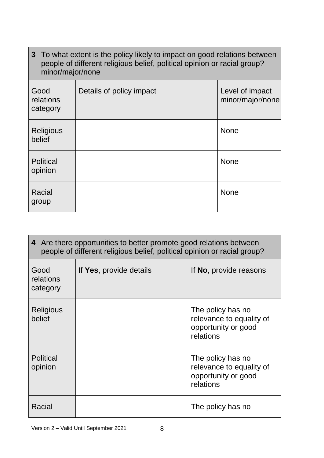| 3 To what extent is the policy likely to impact on good relations between<br>people of different religious belief, political opinion or racial group?<br>minor/major/none |                          |                                     |
|---------------------------------------------------------------------------------------------------------------------------------------------------------------------------|--------------------------|-------------------------------------|
| Good<br>relations<br>category                                                                                                                                             | Details of policy impact | Level of impact<br>minor/major/none |
| <b>Religious</b><br>belief                                                                                                                                                |                          | <b>None</b>                         |
| <b>Political</b><br>opinion                                                                                                                                               |                          | <b>None</b>                         |
| Racial<br>group                                                                                                                                                           |                          | <b>None</b>                         |

| 4 Are there opportunities to better promote good relations between<br>people of different religious belief, political opinion or racial group? |                         |                                                                                   |  |
|------------------------------------------------------------------------------------------------------------------------------------------------|-------------------------|-----------------------------------------------------------------------------------|--|
| Good<br>relations<br>category                                                                                                                  | If Yes, provide details | If No, provide reasons                                                            |  |
| <b>Religious</b><br>belief                                                                                                                     |                         | The policy has no<br>relevance to equality of<br>opportunity or good<br>relations |  |
| <b>Political</b><br>opinion                                                                                                                    |                         | The policy has no<br>relevance to equality of<br>opportunity or good<br>relations |  |
| Racial                                                                                                                                         |                         | The policy has no                                                                 |  |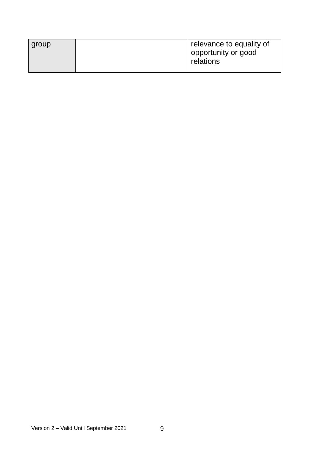| group | relevance to equality of         |
|-------|----------------------------------|
|       | opportunity or good<br>relations |
|       |                                  |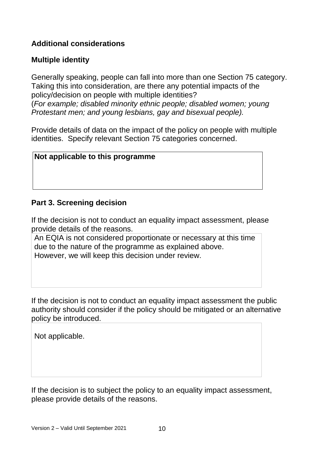#### **Additional considerations**

#### **Multiple identity**

Generally speaking, people can fall into more than one Section 75 category. Taking this into consideration, are there any potential impacts of the policy/decision on people with multiple identities? (*For example; disabled minority ethnic people; disabled women; young Protestant men; and young lesbians, gay and bisexual people).*

Provide details of data on the impact of the policy on people with multiple identities. Specify relevant Section 75 categories concerned.

#### **Not applicable to this programme**

#### **Part 3. Screening decision**

If the decision is not to conduct an equality impact assessment, please provide details of the reasons.

An EQIA is not considered proportionate or necessary at this time due to the nature of the programme as explained above. However, we will keep this decision under review.

If the decision is not to conduct an equality impact assessment the public authority should consider if the policy should be mitigated or an alternative policy be introduced.

Not applicable.

If the decision is to subject the policy to an equality impact assessment, please provide details of the reasons.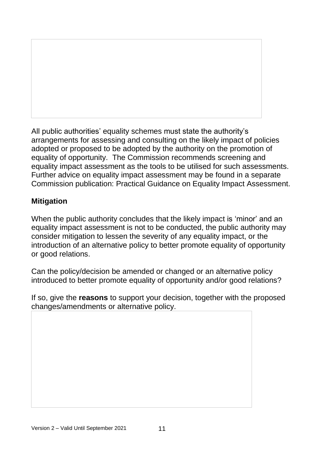All public authorities' equality schemes must state the authority's arrangements for assessing and consulting on the likely impact of policies adopted or proposed to be adopted by the authority on the promotion of equality of opportunity. The Commission recommends screening and equality impact assessment as the tools to be utilised for such assessments. Further advice on equality impact assessment may be found in a separate Commission publication: Practical Guidance on Equality Impact Assessment.

# **Mitigation**

When the public authority concludes that the likely impact is 'minor' and an equality impact assessment is not to be conducted, the public authority may consider mitigation to lessen the severity of any equality impact, or the introduction of an alternative policy to better promote equality of opportunity or good relations.

Can the policy/decision be amended or changed or an alternative policy introduced to better promote equality of opportunity and/or good relations?

If so, give the **reasons** to support your decision, together with the proposed changes/amendments or alternative policy.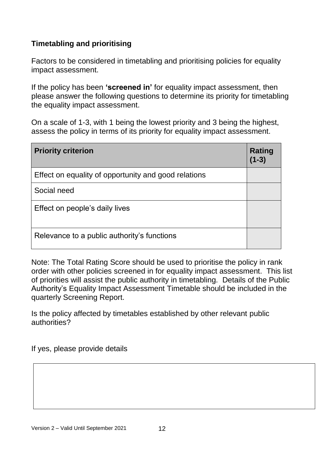#### **Timetabling and prioritising**

Factors to be considered in timetabling and prioritising policies for equality impact assessment.

If the policy has been **'screened in'** for equality impact assessment, then please answer the following questions to determine its priority for timetabling the equality impact assessment.

On a scale of 1-3, with 1 being the lowest priority and 3 being the highest, assess the policy in terms of its priority for equality impact assessment.

| <b>Priority criterion</b>                            | Rating<br>$(1 - 3)$ |
|------------------------------------------------------|---------------------|
| Effect on equality of opportunity and good relations |                     |
| Social need                                          |                     |
| Effect on people's daily lives                       |                     |
| Relevance to a public authority's functions          |                     |

Note: The Total Rating Score should be used to prioritise the policy in rank order with other policies screened in for equality impact assessment. This list of priorities will assist the public authority in timetabling. Details of the Public Authority's Equality Impact Assessment Timetable should be included in the quarterly Screening Report.

Is the policy affected by timetables established by other relevant public authorities?

If yes, please provide details